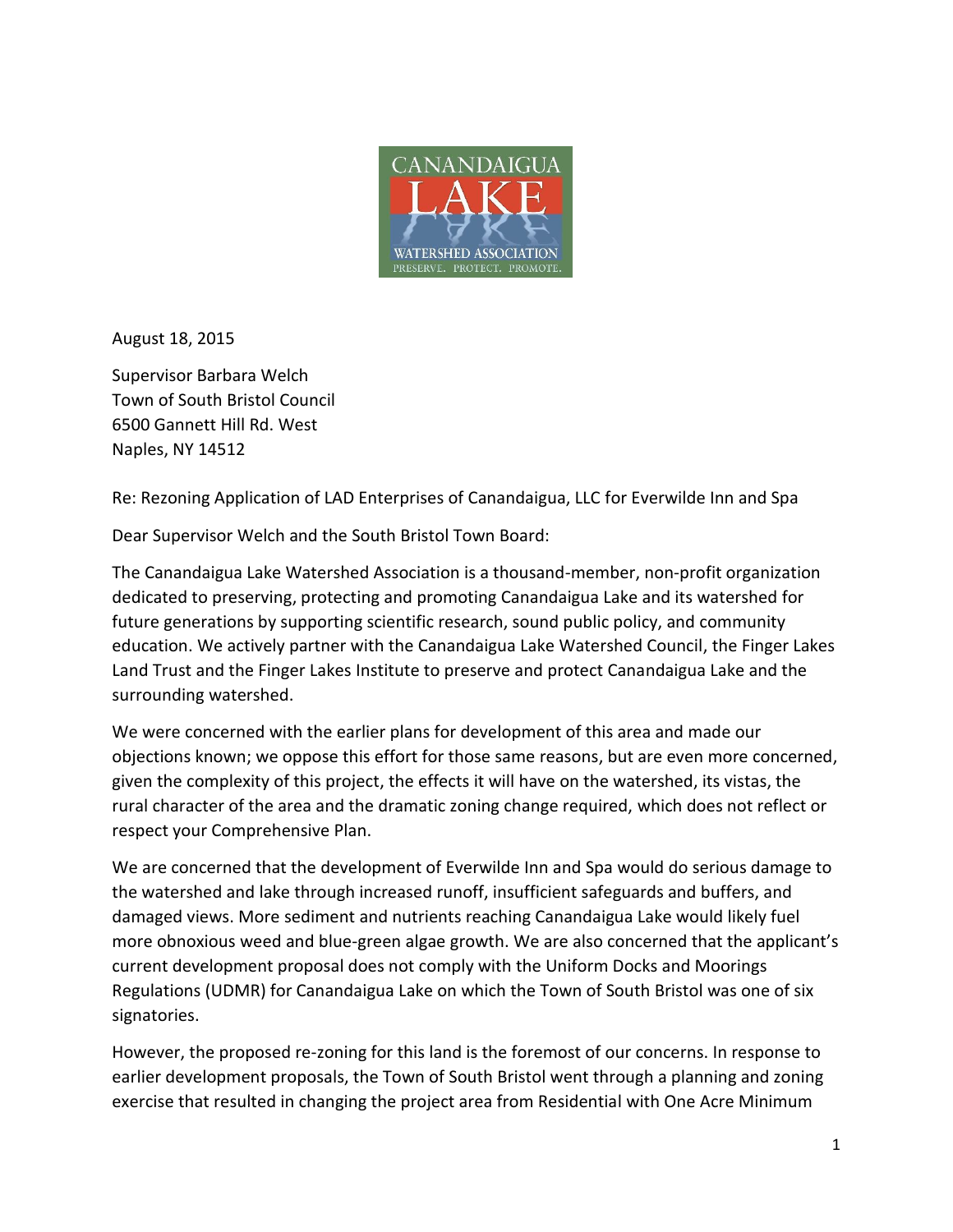

August 18, 2015

Supervisor Barbara Welch Town of South Bristol Council 6500 Gannett Hill Rd. West Naples, NY 14512

Re: Rezoning Application of LAD Enterprises of Canandaigua, LLC for Everwilde Inn and Spa

Dear Supervisor Welch and the South Bristol Town Board:

The Canandaigua Lake Watershed Association is a thousand-member, non-profit organization dedicated to preserving, protecting and promoting Canandaigua Lake and its watershed for future generations by supporting scientific research, sound public policy, and community education. We actively partner with the Canandaigua Lake Watershed Council, the Finger Lakes Land Trust and the Finger Lakes Institute to preserve and protect Canandaigua Lake and the surrounding watershed.

We were concerned with the earlier plans for development of this area and made our objections known; we oppose this effort for those same reasons, but are even more concerned, given the complexity of this project, the effects it will have on the watershed, its vistas, the rural character of the area and the dramatic zoning change required, which does not reflect or respect your Comprehensive Plan.

We are concerned that the development of Everwilde Inn and Spa would do serious damage to the watershed and lake through increased runoff, insufficient safeguards and buffers, and damaged views. More sediment and nutrients reaching Canandaigua Lake would likely fuel more obnoxious weed and blue-green algae growth. We are also concerned that the applicant's current development proposal does not comply with the Uniform Docks and Moorings Regulations (UDMR) for Canandaigua Lake on which the Town of South Bristol was one of six signatories.

However, the proposed re-zoning for this land is the foremost of our concerns. In response to earlier development proposals, the Town of South Bristol went through a planning and zoning exercise that resulted in changing the project area from Residential with One Acre Minimum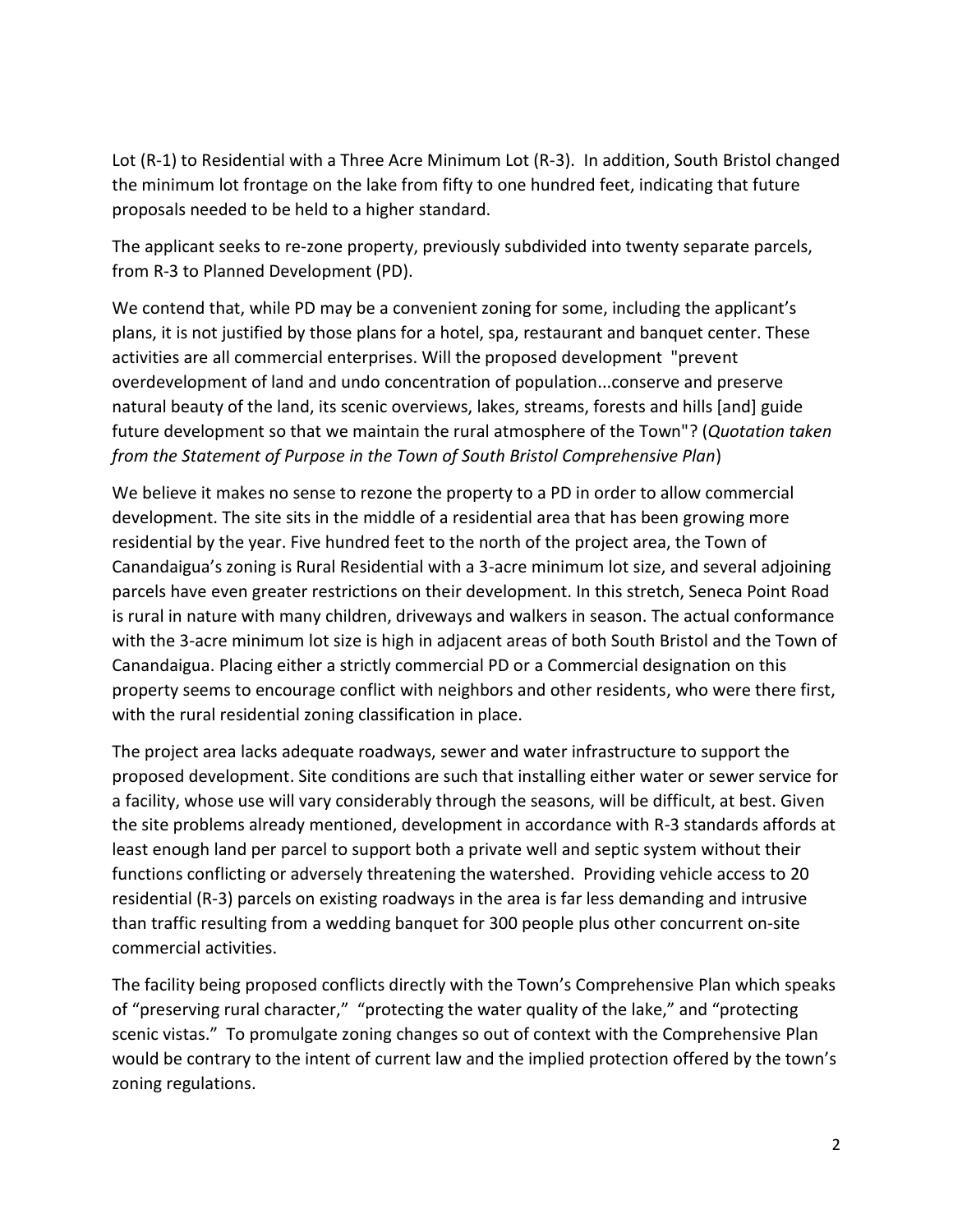Lot (R-1) to Residential with a Three Acre Minimum Lot (R-3). In addition, South Bristol changed the minimum lot frontage on the lake from fifty to one hundred feet, indicating that future proposals needed to be held to a higher standard.

The applicant seeks to re-zone property, previously subdivided into twenty separate parcels, from R-3 to Planned Development (PD).

We contend that, while PD may be a convenient zoning for some, including the applicant's plans, it is not justified by those plans for a hotel, spa, restaurant and banquet center. These activities are all commercial enterprises. Will the proposed development "prevent overdevelopment of land and undo concentration of population...conserve and preserve natural beauty of the land, its scenic overviews, lakes, streams, forests and hills [and] guide future development so that we maintain the rural atmosphere of the Town"? (*Quotation taken from the Statement of Purpose in the Town of South Bristol Comprehensive Plan*)

We believe it makes no sense to rezone the property to a PD in order to allow commercial development. The site sits in the middle of a residential area that has been growing more residential by the year. Five hundred feet to the north of the project area, the Town of Canandaigua's zoning is Rural Residential with a 3-acre minimum lot size, and several adjoining parcels have even greater restrictions on their development. In this stretch, Seneca Point Road is rural in nature with many children, driveways and walkers in season. The actual conformance with the 3-acre minimum lot size is high in adjacent areas of both South Bristol and the Town of Canandaigua. Placing either a strictly commercial PD or a Commercial designation on this property seems to encourage conflict with neighbors and other residents, who were there first, with the rural residential zoning classification in place.

The project area lacks adequate roadways, sewer and water infrastructure to support the proposed development. Site conditions are such that installing either water or sewer service for a facility, whose use will vary considerably through the seasons, will be difficult, at best. Given the site problems already mentioned, development in accordance with R-3 standards affords at least enough land per parcel to support both a private well and septic system without their functions conflicting or adversely threatening the watershed. Providing vehicle access to 20 residential (R-3) parcels on existing roadways in the area is far less demanding and intrusive than traffic resulting from a wedding banquet for 300 people plus other concurrent on-site commercial activities.

The facility being proposed conflicts directly with the Town's Comprehensive Plan which speaks of "preserving rural character," "protecting the water quality of the lake," and "protecting scenic vistas." To promulgate zoning changes so out of context with the Comprehensive Plan would be contrary to the intent of current law and the implied protection offered by the town's zoning regulations.